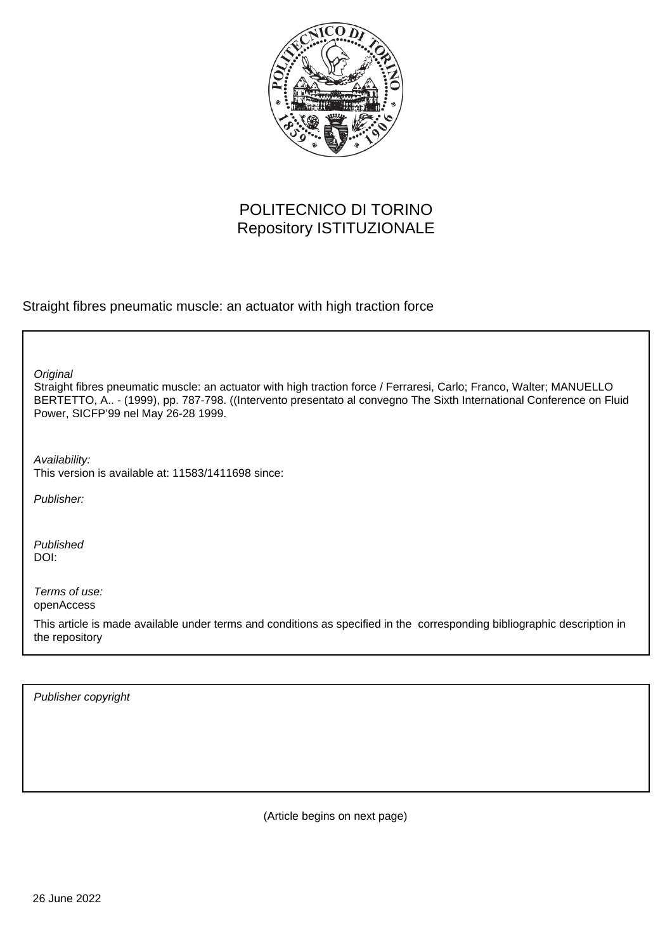

# POLITECNICO DI TORINO Repository ISTITUZIONALE

Straight fibres pneumatic muscle: an actuator with high traction force

**Original** 

Straight fibres pneumatic muscle: an actuator with high traction force / Ferraresi, Carlo; Franco, Walter; MANUELLO BERTETTO, A.. - (1999), pp. 787-798. ((Intervento presentato al convegno The Sixth International Conference on Fluid Power, SICFP'99 nel May 26-28 1999.

Availability: This version is available at: 11583/1411698 since:

Publisher:

Published DOI:

Terms of use: openAccess

This article is made available under terms and conditions as specified in the corresponding bibliographic description in the repository

Publisher copyright

(Article begins on next page)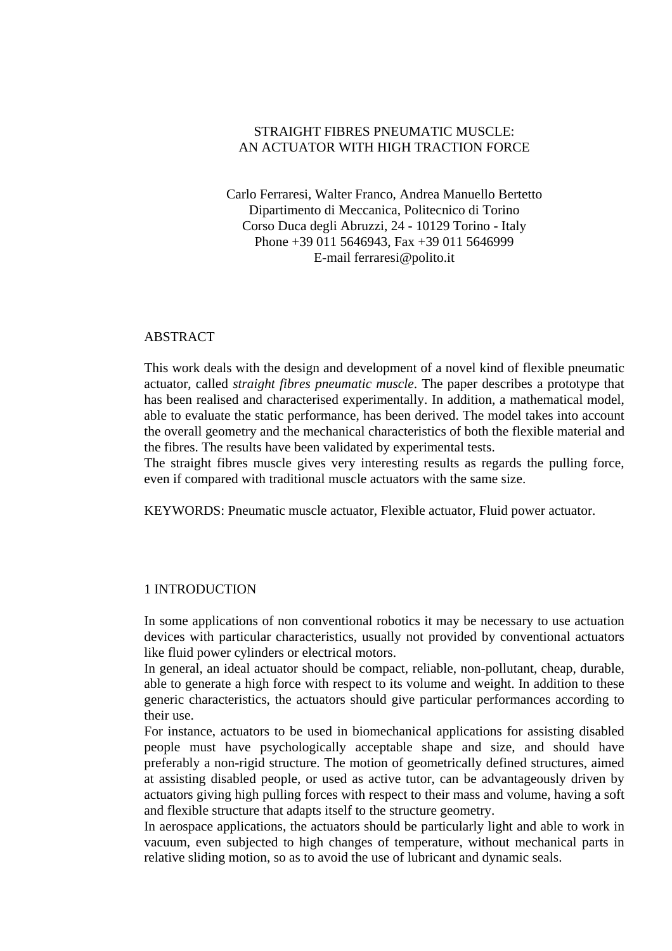# STRAIGHT FIBRES PNEUMATIC MUSCLE: AN ACTUATOR WITH HIGH TRACTION FORCE

Carlo Ferraresi, Walter Franco, Andrea Manuello Bertetto Dipartimento di Meccanica, Politecnico di Torino Corso Duca degli Abruzzi, 24 - 10129 Torino - Italy Phone +39 011 5646943, Fax +39 011 5646999 E-mail ferraresi@polito.it

#### ABSTRACT

This work deals with the design and development of a novel kind of flexible pneumatic actuator, called *straight fibres pneumatic muscle*. The paper describes a prototype that has been realised and characterised experimentally. In addition, a mathematical model, able to evaluate the static performance, has been derived. The model takes into account the overall geometry and the mechanical characteristics of both the flexible material and the fibres. The results have been validated by experimental tests.

The straight fibres muscle gives very interesting results as regards the pulling force, even if compared with traditional muscle actuators with the same size.

KEYWORDS: Pneumatic muscle actuator, Flexible actuator, Fluid power actuator.

#### 1 INTRODUCTION

In some applications of non conventional robotics it may be necessary to use actuation devices with particular characteristics, usually not provided by conventional actuators like fluid power cylinders or electrical motors.

In general, an ideal actuator should be compact, reliable, non-pollutant, cheap, durable, able to generate a high force with respect to its volume and weight. In addition to these generic characteristics, the actuators should give particular performances according to their use.

For instance, actuators to be used in biomechanical applications for assisting disabled people must have psychologically acceptable shape and size, and should have preferably a non-rigid structure. The motion of geometrically defined structures, aimed at assisting disabled people, or used as active tutor, can be advantageously driven by actuators giving high pulling forces with respect to their mass and volume, having a soft and flexible structure that adapts itself to the structure geometry.

In aerospace applications, the actuators should be particularly light and able to work in vacuum, even subjected to high changes of temperature, without mechanical parts in relative sliding motion, so as to avoid the use of lubricant and dynamic seals.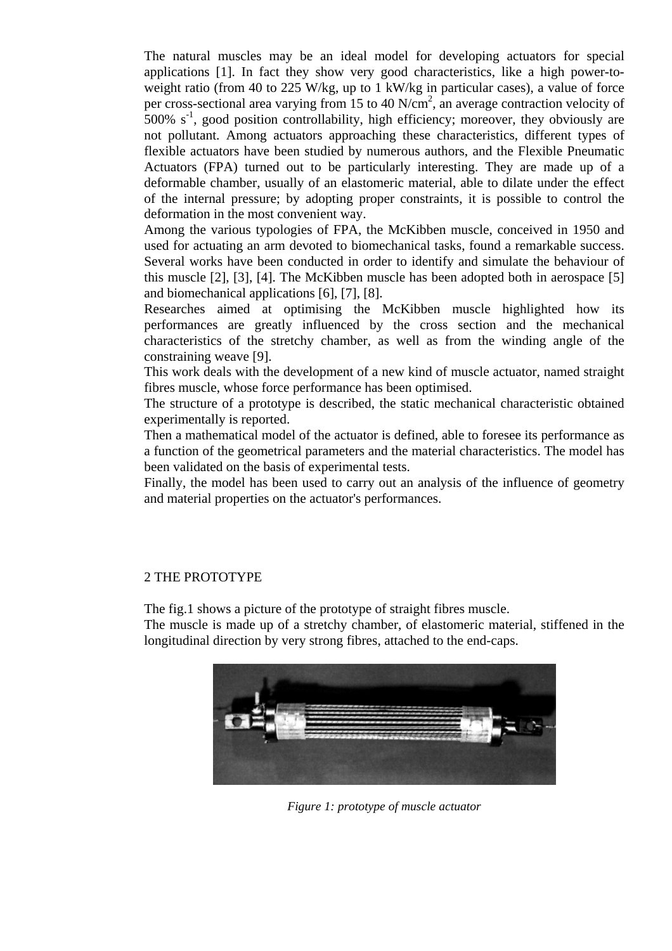The natural muscles may be an ideal model for developing actuators for special applications [1]. In fact they show very good characteristics, like a high power-toweight ratio (from 40 to 225 W/kg, up to 1 kW/kg in particular cases), a value of force per cross-sectional area varying from 15 to 40 N/cm<sup>2</sup>, an average contraction velocity of 500%  $s^{-1}$ , good position controllability, high efficiency; moreover, they obviously are not pollutant. Among actuators approaching these characteristics, different types of flexible actuators have been studied by numerous authors, and the Flexible Pneumatic Actuators (FPA) turned out to be particularly interesting. They are made up of a deformable chamber, usually of an elastomeric material, able to dilate under the effect of the internal pressure; by adopting proper constraints, it is possible to control the deformation in the most convenient way.

Among the various typologies of FPA, the McKibben muscle, conceived in 1950 and used for actuating an arm devoted to biomechanical tasks, found a remarkable success. Several works have been conducted in order to identify and simulate the behaviour of this muscle [2], [3], [4]. The McKibben muscle has been adopted both in aerospace [5] and biomechanical applications [6], [7], [8].

Researches aimed at optimising the McKibben muscle highlighted how its performances are greatly influenced by the cross section and the mechanical characteristics of the stretchy chamber, as well as from the winding angle of the constraining weave [9].

This work deals with the development of a new kind of muscle actuator, named straight fibres muscle, whose force performance has been optimised.

The structure of a prototype is described, the static mechanical characteristic obtained experimentally is reported.

Then a mathematical model of the actuator is defined, able to foresee its performance as a function of the geometrical parameters and the material characteristics. The model has been validated on the basis of experimental tests.

Finally, the model has been used to carry out an analysis of the influence of geometry and material properties on the actuator's performances.

## 2 THE PROTOTYPE

The fig.1 shows a picture of the prototype of straight fibres muscle.

The muscle is made up of a stretchy chamber, of elastomeric material, stiffened in the longitudinal direction by very strong fibres, attached to the end-caps.



*Figure 1: prototype of muscle actuator*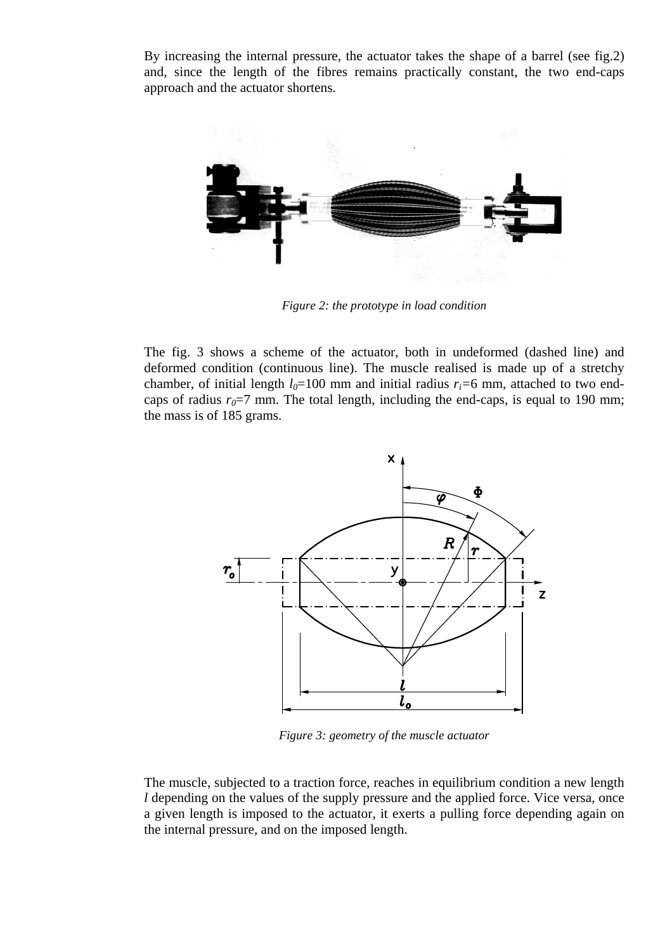By increasing the internal pressure, the actuator takes the shape of a barrel (see fig.2) and, since the length of the fibres remains practically constant, the two end-caps approach and the actuator shortens.



*Figure 2: the prototype in load condition* 

The fig. 3 shows a scheme of the actuator, both in undeformed (dashed line) and deformed condition (continuous line). The muscle realised is made up of a stretchy chamber, of initial length  $l_0$ =100 mm and initial radius  $r_i$ =6 mm, attached to two endcaps of radius  $r_0 = 7$  mm. The total length, including the end-caps, is equal to 190 mm; the mass is of 185 grams.



*Figure 3: geometry of the muscle actuator*

The muscle, subjected to a traction force, reaches in equilibrium condition a new length *l* depending on the values of the supply pressure and the applied force. Vice versa, once a given length is imposed to the actuator, it exerts a pulling force depending again on the internal pressure, and on the imposed length.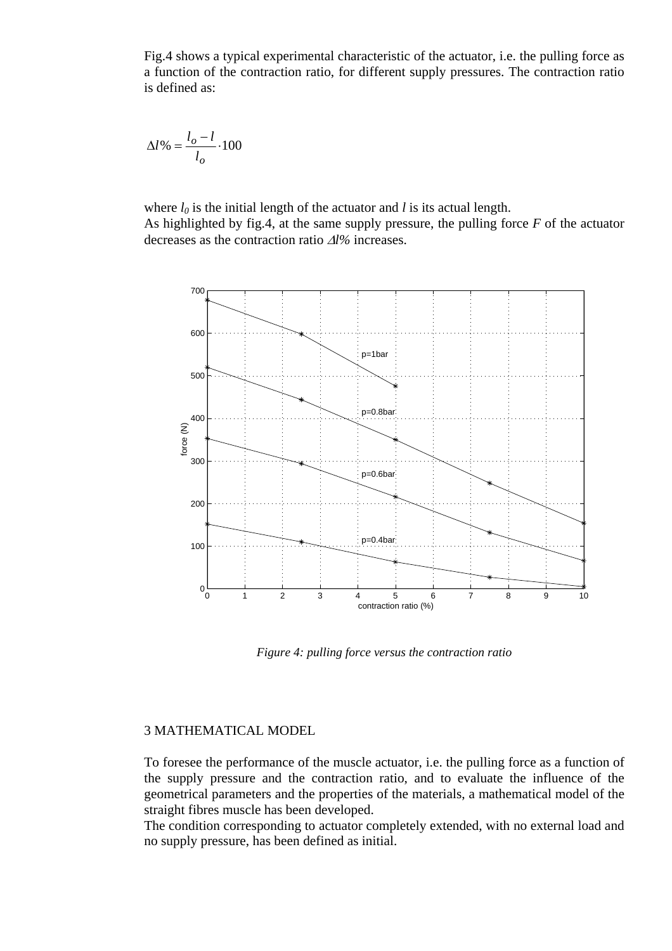Fig.4 shows a typical experimental characteristic of the actuator, i.e. the pulling force as a function of the contraction ratio, for different supply pressures. The contraction ratio is defined as:

$$
\Delta l\% = \frac{l_o - l}{l_o} \cdot 100
$$

where  $l_0$  is the initial length of the actuator and *l* is its actual length. As highlighted by fig.4, at the same supply pressure, the pulling force *F* of the actuator decreases as the contraction ratio Δ*l%* increases.



*Figure 4: pulling force versus the contraction ratio* 

## 3 MATHEMATICAL MODEL

To foresee the performance of the muscle actuator, i.e. the pulling force as a function of the supply pressure and the contraction ratio, and to evaluate the influence of the geometrical parameters and the properties of the materials, a mathematical model of the straight fibres muscle has been developed.

The condition corresponding to actuator completely extended, with no external load and no supply pressure, has been defined as initial.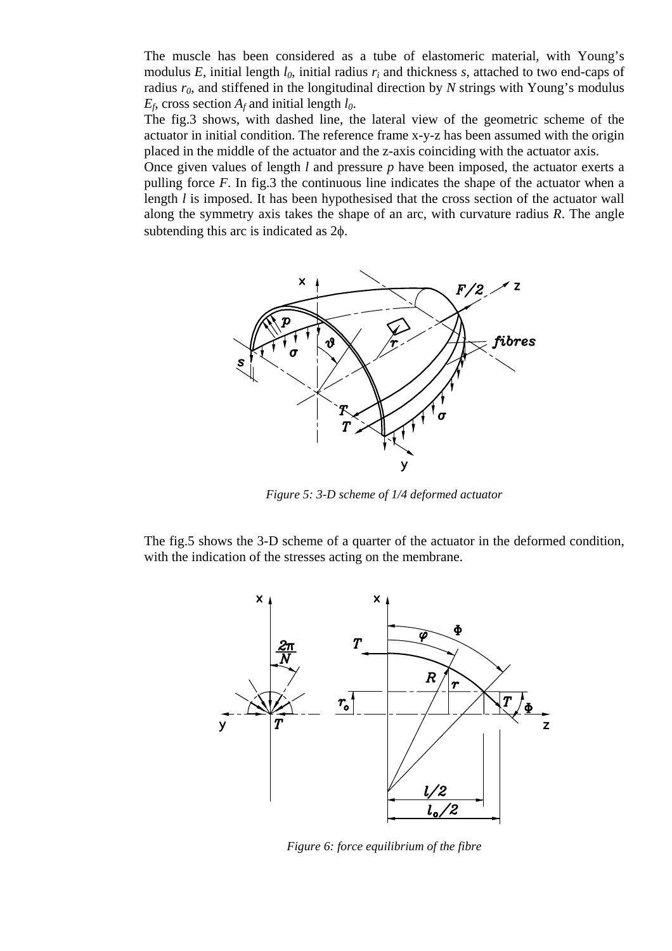The muscle has been considered as a tube of elastomeric material, with Young's modulus *E*, initial length  $l_0$ , initial radius  $r_i$  and thickness *s*, attached to two end-caps of radius *r0*, and stiffened in the longitudinal direction by *N* strings with Young's modulus  $E_f$ , cross section  $A_f$  and initial length  $l_0$ .

The fig.3 shows, with dashed line, the lateral view of the geometric scheme of the actuator in initial condition. The reference frame x-y-z has been assumed with the origin placed in the middle of the actuator and the z-axis coinciding with the actuator axis.

Once given values of length *l* and pressure *p* have been imposed, the actuator exerts a pulling force *F*. In fig.3 the continuous line indicates the shape of the actuator when a length *l* is imposed. It has been hypothesised that the cross section of the actuator wall along the symmetry axis takes the shape of an arc, with curvature radius *R*. The angle subtending this arc is indicated as 2φ.



*Figure 5: 3-D scheme of 1/4 deformed actuator* 

The fig.5 shows the 3-D scheme of a quarter of the actuator in the deformed condition, with the indication of the stresses acting on the membrane.



*Figure 6: force equilibrium of the fibre*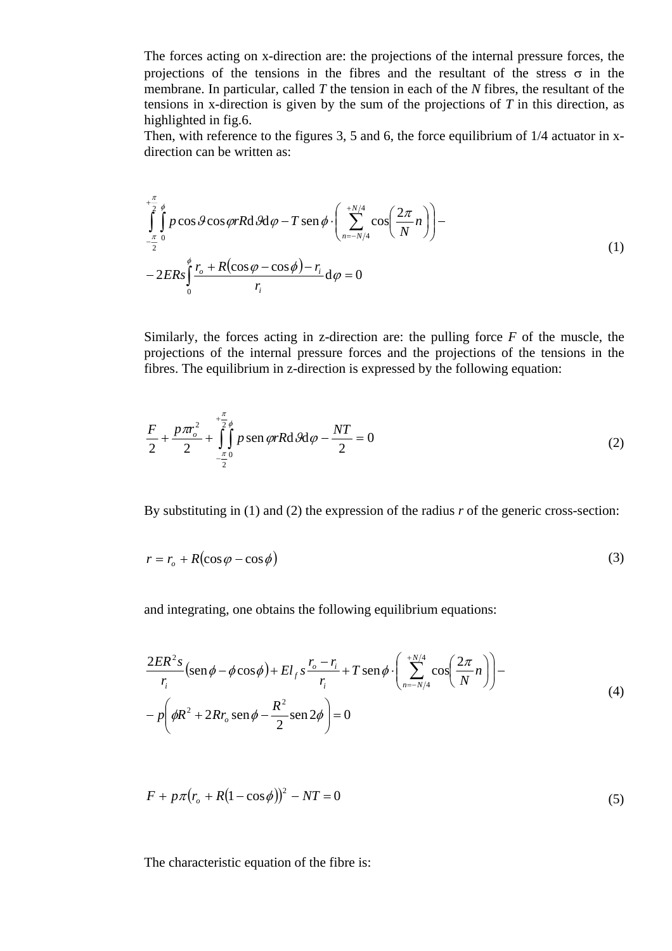The forces acting on x-direction are: the projections of the internal pressure forces, the projections of the tensions in the fibres and the resultant of the stress  $\sigma$  in the membrane. In particular, called *T* the tension in each of the *N* fibres, the resultant of the tensions in x-direction is given by the sum of the projections of *T* in this direction, as highlighted in fig.6.

Then, with reference to the figures 3, 5 and 6, the force equilibrium of 1/4 actuator in xdirection can be written as:

$$
\int_{-\frac{\pi}{2}}^{\frac{\pi}{2}} \int_{0}^{\phi} p \cos \theta \cos \varphi r R d \vartheta \varphi - T \operatorname{sen} \phi \cdot \left( \sum_{n=-N/4}^{+\frac{N}{4}} \cos \left( \frac{2\pi}{N} n \right) \right) - \frac{\pi}{2}
$$
\n
$$
-2 E R s \int_{0}^{\phi} \frac{r_o + R(\cos \varphi - \cos \phi) - r_i}{r_i} d\varphi = 0
$$
\n(1)

Similarly, the forces acting in z-direction are: the pulling force *F* of the muscle, the projections of the internal pressure forces and the projections of the tensions in the fibres. The equilibrium in z-direction is expressed by the following equation:

$$
\frac{F}{2} + \frac{p\pi r_o^2}{2} + \int_{-\frac{\pi}{2}}^{\frac{\pi}{2}} \int_{0}^{\frac{\pi}{2}} p \operatorname{sen}\varphi r R \operatorname{d} \vartheta d\varphi - \frac{NT}{2} = 0
$$
\n(2)

By substituting in (1) and (2) the expression of the radius *r* of the generic cross-section:

$$
r = r_o + R(\cos\varphi - \cos\phi) \tag{3}
$$

and integrating, one obtains the following equilibrium equations:

$$
\frac{2ER^2s}{r_i}(\operatorname{sen}\phi - \phi\cos\phi) + El_{fs} \frac{r_o - r_i}{r_i} + T \operatorname{sen}\phi \cdot \left(\sum_{n=-N/4}^{+N/4} \cos\left(\frac{2\pi}{N}n\right)\right) -
$$
  
-  $p\left(\phi R^2 + 2Rr_o \operatorname{sen}\phi - \frac{R^2}{2}\operatorname{sen}2\phi\right) = 0$  (4)

$$
F + p\pi (r_o + R(1 - \cos \phi))^2 - NT = 0
$$
\n(5)

The characteristic equation of the fibre is: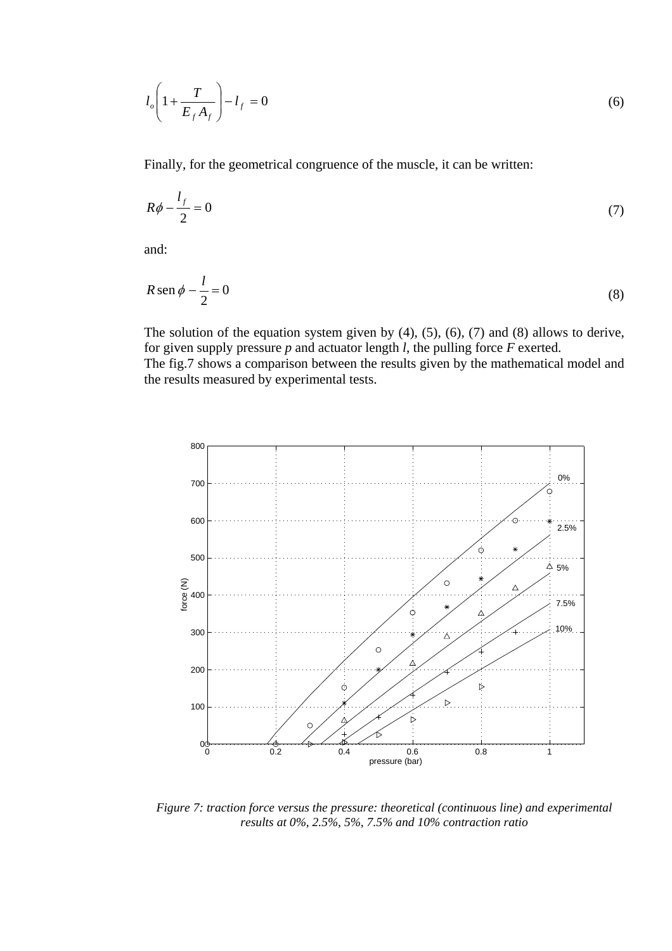$$
l_o \left( 1 + \frac{T}{E_f A_f} \right) - l_f = 0 \tag{6}
$$

Finally, for the geometrical congruence of the muscle, it can be written:

$$
R\phi - \frac{l_f}{2} = 0\tag{7}
$$

and:

$$
R \operatorname{sen} \phi - \frac{l}{2} = 0 \tag{8}
$$

The solution of the equation system given by  $(4)$ ,  $(5)$ ,  $(6)$ ,  $(7)$  and  $(8)$  allows to derive, for given supply pressure *p* and actuator length *l*, the pulling force *F* exerted. The fig.7 shows a comparison between the results given by the mathematical model and the results measured by experimental tests.



*Figure 7: traction force versus the pressure: theoretical (continuous line) and experimental results at 0%, 2.5%, 5%, 7.5% and 10% contraction ratio*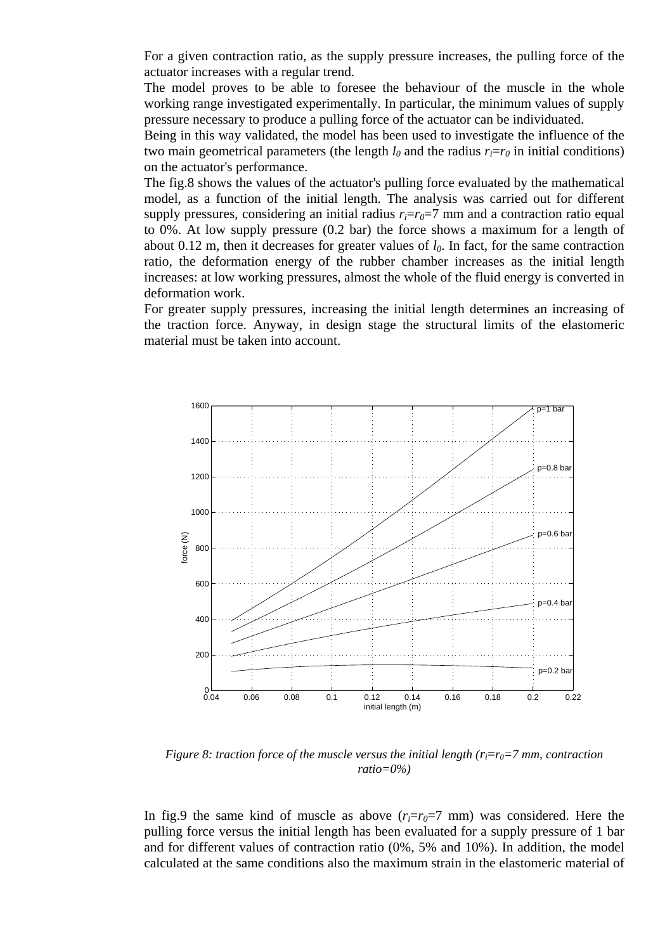For a given contraction ratio, as the supply pressure increases, the pulling force of the actuator increases with a regular trend.

The model proves to be able to foresee the behaviour of the muscle in the whole working range investigated experimentally. In particular, the minimum values of supply pressure necessary to produce a pulling force of the actuator can be individuated.

Being in this way validated, the model has been used to investigate the influence of the two main geometrical parameters (the length  $l_0$  and the radius  $r_i = r_0$  in initial conditions) on the actuator's performance.

The fig.8 shows the values of the actuator's pulling force evaluated by the mathematical model, as a function of the initial length. The analysis was carried out for different supply pressures, considering an initial radius  $r_i = r_0 = 7$  mm and a contraction ratio equal to 0%. At low supply pressure (0.2 bar) the force shows a maximum for a length of about 0.12 m, then it decreases for greater values of  $l_0$ . In fact, for the same contraction ratio, the deformation energy of the rubber chamber increases as the initial length increases: at low working pressures, almost the whole of the fluid energy is converted in deformation work.

For greater supply pressures, increasing the initial length determines an increasing of the traction force. Anyway, in design stage the structural limits of the elastomeric material must be taken into account.



*Figure 8: traction force of the muscle versus the initial length*  $(r_i = r_0 = 7$  *mm, contraction ratio=0%)* 

In fig.9 the same kind of muscle as above  $(r_i=r_0=7 \text{ mm})$  was considered. Here the pulling force versus the initial length has been evaluated for a supply pressure of 1 bar and for different values of contraction ratio (0%, 5% and 10%). In addition, the model calculated at the same conditions also the maximum strain in the elastomeric material of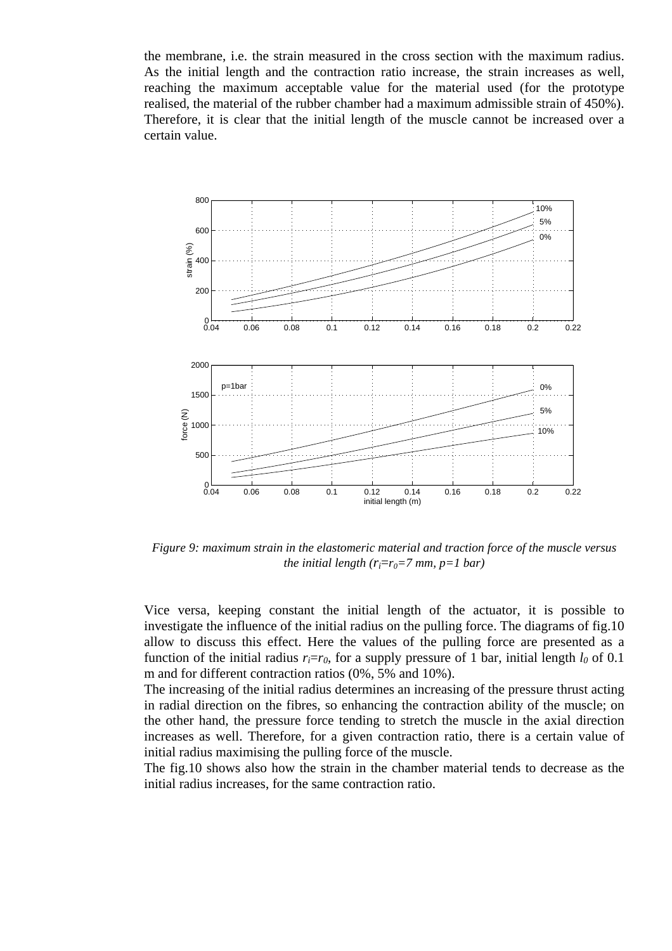the membrane, i.e. the strain measured in the cross section with the maximum radius. As the initial length and the contraction ratio increase, the strain increases as well, reaching the maximum acceptable value for the material used (for the prototype realised, the material of the rubber chamber had a maximum admissible strain of 450%). Therefore, it is clear that the initial length of the muscle cannot be increased over a certain value.



*Figure 9: maximum strain in the elastomeric material and traction force of the muscle versus the initial length (r<sub>i</sub>* $=r_0=7$  *mm, p=1 bar)* 

Vice versa, keeping constant the initial length of the actuator, it is possible to investigate the influence of the initial radius on the pulling force. The diagrams of fig.10 allow to discuss this effect. Here the values of the pulling force are presented as a function of the initial radius  $r_i=r_0$ , for a supply pressure of 1 bar, initial length  $l_0$  of 0.1 m and for different contraction ratios (0%, 5% and 10%).

The increasing of the initial radius determines an increasing of the pressure thrust acting in radial direction on the fibres, so enhancing the contraction ability of the muscle; on the other hand, the pressure force tending to stretch the muscle in the axial direction increases as well. Therefore, for a given contraction ratio, there is a certain value of initial radius maximising the pulling force of the muscle.

The fig.10 shows also how the strain in the chamber material tends to decrease as the initial radius increases, for the same contraction ratio.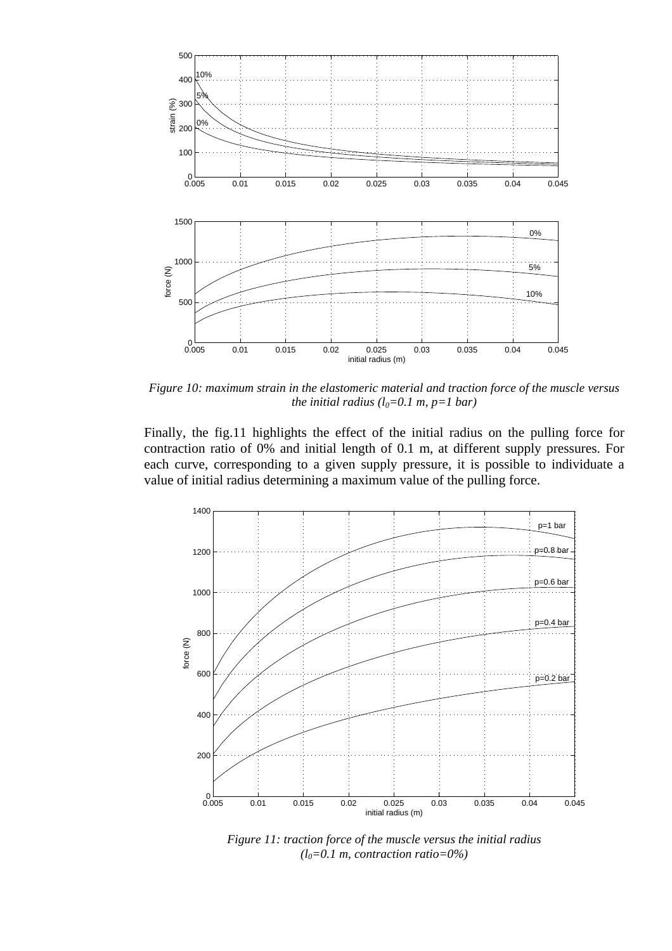

*Figure 10: maximum strain in the elastomeric material and traction force of the muscle versus the initial radius (* $l_0 = 0.1$  *m, p=1 bar)* 

Finally, the fig.11 highlights the effect of the initial radius on the pulling force for contraction ratio of 0% and initial length of 0.1 m, at different supply pressures. For each curve, corresponding to a given supply pressure, it is possible to individuate a value of initial radius determining a maximum value of the pulling force.



*Figure 11: traction force of the muscle versus the initial radius (l0=0.1 m, contraction ratio=0%)*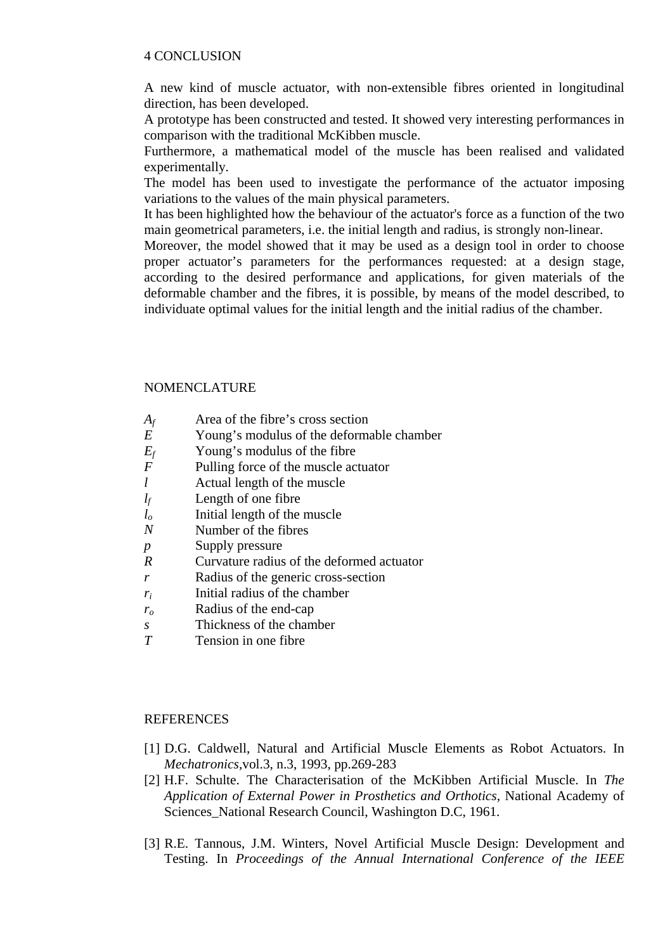### 4 CONCLUSION

A new kind of muscle actuator, with non-extensible fibres oriented in longitudinal direction, has been developed.

A prototype has been constructed and tested. It showed very interesting performances in comparison with the traditional McKibben muscle.

Furthermore, a mathematical model of the muscle has been realised and validated experimentally.

The model has been used to investigate the performance of the actuator imposing variations to the values of the main physical parameters.

It has been highlighted how the behaviour of the actuator's force as a function of the two main geometrical parameters, i.e. the initial length and radius, is strongly non-linear.

Moreover, the model showed that it may be used as a design tool in order to choose proper actuator's parameters for the performances requested: at a design stage, according to the desired performance and applications, for given materials of the deformable chamber and the fibres, it is possible, by means of the model described, to individuate optimal values for the initial length and the initial radius of the chamber.

## NOMENCLATURE

- *Af* Area of the fibre's cross section
- *E* Young's modulus of the deformable chamber
- *Ef* Young's modulus of the fibre
- *F* Pulling force of the muscle actuator
- *l* Actual length of the muscle
- *lf* Length of one fibre
- *l<sub>o</sub>* Initial length of the muscle
- *N* **Number of the fibres**
- *p* Supply pressure
- *R* Curvature radius of the deformed actuator
- *r* Radius of the generic cross-section
- *ri* Initial radius of the chamber
- *ro* Radius of the end-cap
- *s* Thickness of the chamber
- *T* Tension in one fibre

#### REFERENCES

- [1] D.G. Caldwell, Natural and Artificial Muscle Elements as Robot Actuators. In *Mechatronics,*vol.3, n.3, 1993, pp.269-283
- [2] H.F. Schulte. The Characterisation of the McKibben Artificial Muscle. In *The Application of External Power in Prosthetics and Orthotics*, National Academy of Sciences National Research Council, Washington D.C, 1961.
- [3] R.E. Tannous, J.M. Winters, Novel Artificial Muscle Design: Development and Testing. In *Proceedings of the Annual International Conference of the IEEE*